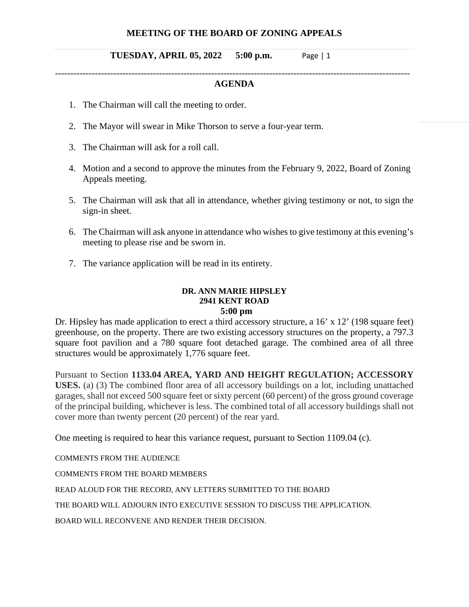# **MEETING OF THE BOARD OF ZONING APPEALS**

## **TUESDAY, APRIL 05, 2022 5:00 p.m.** Page | 1

#### -------------------------------------------------------------------------------------------------------------------- **AGENDA**

- 1. The Chairman will call the meeting to order.
- 2. The Mayor will swear in Mike Thorson to serve a four-year term.
- 3. The Chairman will ask for a roll call.
- 4. Motion and a second to approve the minutes from the February 9, 2022, Board of Zoning Appeals meeting.
- 5. The Chairman will ask that all in attendance, whether giving testimony or not, to sign the sign-in sheet.
- 6. The Chairman will ask anyone in attendance who wishes to give testimony at this evening's meeting to please rise and be sworn in.
- 7. The variance application will be read in its entirety.

# **DR. ANN MARIE HIPSLEY 2941 KENT ROAD**

# **5:00 pm**

Dr. Hipsley has made application to erect a third accessory structure, a 16' x 12' (198 square feet) greenhouse, on the property. There are two existing accessory structures on the property, a 797.3 square foot pavilion and a 780 square foot detached garage. The combined area of all three structures would be approximately 1,776 square feet.

Pursuant to Section **1133.04 AREA, YARD AND HEIGHT REGULATION; ACCESSORY USES.** (a) (3) The combined floor area of all accessory buildings on a lot, including unattached garages, shall not exceed 500 square feet or sixty percent (60 percent) of the gross ground coverage of the principal building, whichever is less. The combined total of all accessory buildings shall not cover more than twenty percent (20 percent) of the rear yard.

One meeting is required to hear this variance request, pursuant to Section 1109.04 (c).

COMMENTS FROM THE AUDIENCE

COMMENTS FROM THE BOARD MEMBERS

READ ALOUD FOR THE RECORD, ANY LETTERS SUBMITTED TO THE BOARD

THE BOARD WILL ADJOURN INTO EXECUTIVE SESSION TO DISCUSS THE APPLICATION.

BOARD WILL RECONVENE AND RENDER THEIR DECISION.